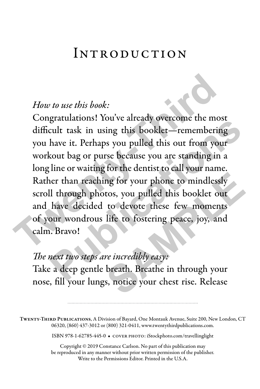#### Introduction

#### *How to use this book:*

Congratulations! You've already overcome the most difficult task in using this booklet—remembering you have it. Perhaps you pulled this out from your workout bag or purse because you are standing in a long line or waiting for the dentist to call your name. Rather than reaching for your phone to mindlessly scroll through photos, you pulled this booklet out and have decided to devote these few moments of your wondrous life to fostering peace, joy, and calm. Bravo! How to use this book:<br>Congratulations! You've already overcome the most<br>difficult task in using this booklet—remembering<br>you have it. Perhaps you pulled this out from your<br>workout bag or purse because you are standing in a graduations. For the ancady overcome the most<br>cult task in using this booklet—remembering<br>have it. Perhaps you pulled this out from your<br>cout bag or purse because you are standing in a<br>line or waiting for the dentist to ca my for your phone to mindlessly<br>tos, you pulled this booklet out<br>to devote these few moments<br>life to fostering peace, joy, and<br>*re incredibly easy:*<br>breath. Breathe in through your<br>s, notice your chest rise. Release

#### *The next two steps are incredibly easy:*

Take a deep gentle breath. Breathe in through your nose, fill your lungs, notice your chest rise. Release

Twenty-Third Publications, A Division of Bayard, One Montauk Avenue, Suite 200, New London, CT 06320, (860) 437-3012 or (800) 321-0411, www.twentythirdpublications.com.

ISBN 978-1-62785-445-0 • cover photo: iStockphoto.com/travellinglight

Copyright © 2019 Constance Carlson. No part of this publication may be reproduced in any manner without prior written permission of the publisher. Write to the Permissions Editor. Printed in the U.S.A.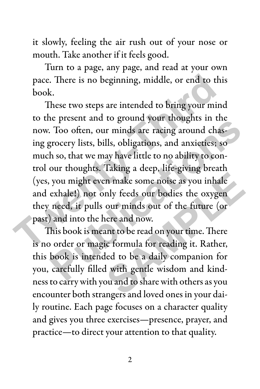it slowly, feeling the air rush out of your nose or mouth. Take another if it feels good.

Turn to a page, any page, and read at your own pace. There is no beginning, middle, or end to this book.

These two steps are intended to bring your mind to the present and to ground your thoughts in the now. Too often, our minds are racing around chasing grocery lists, bills, obligations, and anxieties; so much so, that we may have little to no ability to control our thoughts. Taking a deep, life-giving breath (yes, you might even make some noise as you inhale and exhale!) not only feeds our bodies the oxygen they need, it pulls our minds out of the future (or past) and into the here and now. pace. There is no beginning, middle, or end to this<br>book.<br>These two steps are intended to bring your mind<br>to the present and to ground your thoughts in the<br>now. Too often, our minds are racing around chas-<br>ing grocery list re present and to ground your thoughts in the<br>Too often, our minds are racing around chas-<br>grocery lists, bills, obligations, and anxieties; so<br>h so, that we may have little to no ability to con-<br>our thoughts. Taking a dee

This book is meant to be read on your time. There is no order or magic formula for reading it. Rather, this book is intended to be a daily companion for you, carefully filled with gentle wisdom and kindness to carry with you and to share with others as you encounter both strangers and loved ones in your daily routine. Each page focuses on a character quality and gives you three exercises—presence, prayer, and practice—to direct your attention to that quality. In make some noise as you inhale<br>
nly feeds our bodies the oxygen<br>
our minds out of the future (or<br>
nere and now.<br>
nnt to be read on your time. There<br>
ic formula for reading it. Rather,<br>
led to be a daily companion for<br>
if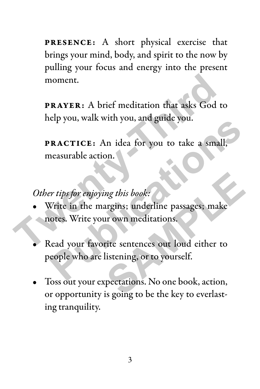PRESENCE: A short physical exercise that brings your mind, body, and spirit to the now by pulling your focus and energy into the present moment.

PRAYER: A brief meditation that asks God to help you, walk with you, and guide you.

PRACTICE: An idea for you to take a small, measurable action.

*Other tips for enjoying this book:*

- Write in the margins; underline passages; make notes. Write your own meditations. moment.<br> **PRAYER:** A brief meditation that asks God to<br>
help you, walk with you, and guide you.<br> **PRACTICE:** An idea for you to take a small,<br>
measurable action.<br>
Other tips for enjoying this book:<br>
• Write in the margins;
	- Read your favorite sentences out loud either to people who are listening, or to yourself. **PRACTICE:** An idea for you to take a small,<br>reasurable action.<br>First tips for enjoying this book:<br>Vrite in the margins; underline passages; make<br>otes. Write your own meditations.<br>Read your favorite sentences out loud eith mg this book:<br> **SAMPLE SAMPLE SAMPLE SAMPLE SAMPLE SAMPLE SAMPLE SAMPLE SAMPLE SAMPLE SAMPLE SAMPLE SAMPLE SAMPLE SAMPLE SAMPLE SAMPLE SAMPLE SAMPLE SAMPLE SAMPLE SAMPLE SAMPLE SAMPLE SAMPLE SAMPLE SAMPLE SAMPLE SAMPLE SAM**
	- Toss out your expectations. No one book, action, or opportunity is going to be the key to everlasting tranquility.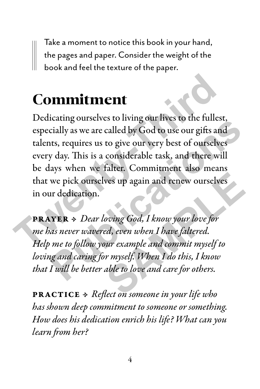Take a moment to notice this book in your hand, the pages and paper. Consider the weight of the book and feel the texture of the paper.

## Commitment

Dedicating ourselves to living our lives to the fullest, especially as we are called by God to use our gifts and talents, requires us to give our very best of ourselves every day. This is a considerable task, and there will be days when we falter. Commitment also means that we pick ourselves up again and renew ourselves in our dedication. **Commitment**<br>
Dedicating ourselves to living our lives to the fullest,<br>
especially as we are called by God to use our gifts and<br>
talents, requires us to give our very best of ourselves<br>
every day. This is a considerable ta **Publication**<br> **Publication** of the set of the function of the function of the function<br>
public set of our set of ourselves<br>
publication we falter. Commitment also means<br>
we pick ourselves up again and renew ourselves<br>
are

PRAYER • *Dear loving God, I know your love for me has never wavered, even when I have faltered. Help me to follow your example and commit myself to loving and caring for myself. When I do this, I know that I will be better able to love and care for others.*  **SAMPLE SET AND THE SET ON SERVING SPECIES**<br>The sample and contribute for the set of the set of the set of the set of the set of the set of the set of the set of the set of the set of the set of the set of the set of the s

PRACTICE • *Reflect on someone in your life who has shown deep commitment to someone or something. How does his dedication enrich his life? What can you learn from her?*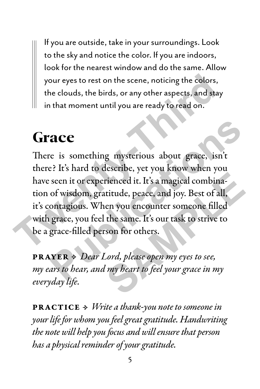If you are outside, take in your surroundings. Look to the sky and notice the color. If you are indoors, look for the nearest window and do the same. Allow your eyes to rest on the scene, noticing the colors, the clouds, the birds, or any other aspects, and stay in that moment until you are ready to read on.

#### **Grace**

There is something mysterious about grace, isn't there? It's hard to describe, yet you know when you have seen it or experienced it. It's a magical combination of wisdom, gratitude, peace, and joy. Best of all, it's contagious. When you encounter someone filled with grace, you feel the same. It's our task to strive to be a grace-filled person for others. **The Solution State of State State State State State State State State State State State State State State State State State State State State State State State State State State State State State State State State State S PHONE SET ASSESS AND SET ASSESS AND SERVID SERVIDES**<br>
Publications about grace, isn't<br>
Pe? It's hard to describe, yet you know when you<br>
seen it or experienced it. It's a magical combina-<br>
of wisdom, gratitude, peace, and rienced it. It's a magical combinatively it is a magical combinatively exact of all,<br>en you encounter someone filled<br>the same. It's our task to strive to<br>son for others.<br>Lord, please open my eyes to see,<br>my heart to feel y

PRAYER • *Dear Lord, please open my eyes to see, my ears to hear, and my heart to feel your grace in my everyday life.* 

PRACTICE • *Write a thank-you note to someone in your life for whom you feel great gratitude. Handwriting the note will help you focus and will ensure that person has a physical reminder of your gratitude.*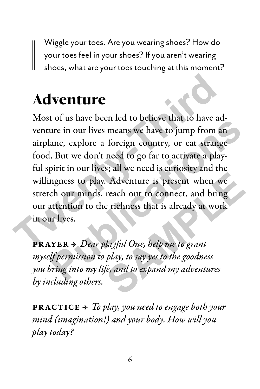Wiggle your toes. Are you wearing shoes? How do your toes feel in your shoes? If you aren't wearing shoes, what are your toes touching at this moment?

# Adventure

Most of us have been led to believe that to have adventure in our lives means we have to jump from an airplane, explore a foreign country, or eat strange food. But we don't need to go far to activate a playful spirit in our lives; all we need is curiosity and the willingness to play. Adventure is present when we stretch our minds, reach out to connect, and bring our attention to the richness that is already at work in our lives. **Adventure**<br>Most of us have been led to believe that to have adventure in our lives means we have to jump from an airplane, explore a foreign country, or eat strange food. But we don't need to go far to activate a play-<br>f **Publication** the state of the state between the to be the control that to have a<br>ture in our lives means we have to jump from an<br>ane, explore a foreign country, or eat strange<br>l. But we don't need to go far to activate a Adventure is present when we<br>reach out to connect, and bring<br>e richness that is already at work<br>layful One, help me to grant<br>play, to say yes to the goodness<br>fe, and to expand my adventures

PRAYER • *Dear playful One, help me to grant myself permission to play, to say yes to the goodness you bring into my life, and to expand my adventures by including others.*

PRACTICE • *To play, you need to engage both your mind (imagination!) and your body. How will you play today?*